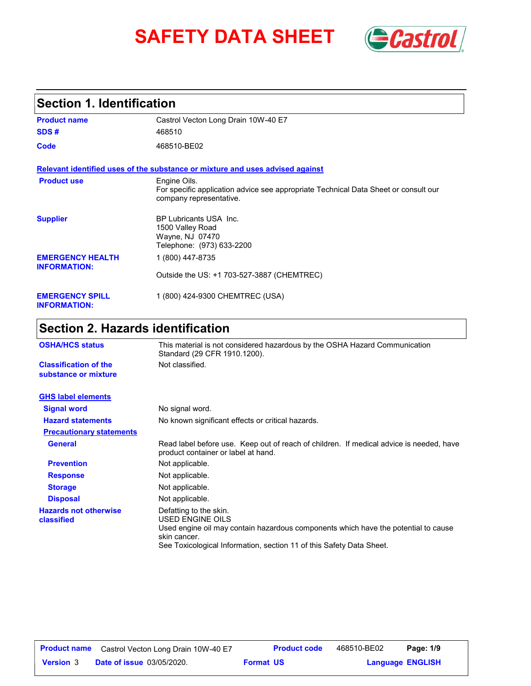# **SAFETY DATA SHEET** *Castrol*



# **Section 1. Identification**

| <b>Product name</b>                            | Castrol Vecton Long Drain 10W-40 E7                                                                                            |
|------------------------------------------------|--------------------------------------------------------------------------------------------------------------------------------|
| SDS#                                           | 468510                                                                                                                         |
| Code                                           | 468510-BE02                                                                                                                    |
|                                                | Relevant identified uses of the substance or mixture and uses advised against                                                  |
| <b>Product use</b>                             | Engine Oils.<br>For specific application advice see appropriate Technical Data Sheet or consult our<br>company representative. |
| <b>Supplier</b>                                | BP Lubricants USA Inc.<br>1500 Valley Road<br>Wayne, NJ 07470<br>Telephone: (973) 633-2200                                     |
| <b>EMERGENCY HEALTH</b><br><b>INFORMATION:</b> | 1 (800) 447-8735                                                                                                               |
|                                                | Outside the US: +1 703-527-3887 (CHEMTREC)                                                                                     |
| <b>EMERGENCY SPILL</b><br><b>INFORMATION:</b>  | 1 (800) 424-9300 CHEMTREC (USA)                                                                                                |

# **Section 2. Hazards identification**

| <b>OSHA/HCS status</b>                               | This material is not considered hazardous by the OSHA Hazard Communication<br>Standard (29 CFR 1910.1200).                                                                                                               |  |
|------------------------------------------------------|--------------------------------------------------------------------------------------------------------------------------------------------------------------------------------------------------------------------------|--|
| <b>Classification of the</b><br>substance or mixture | Not classified.                                                                                                                                                                                                          |  |
| <b>GHS label elements</b>                            |                                                                                                                                                                                                                          |  |
| <b>Signal word</b>                                   | No signal word.                                                                                                                                                                                                          |  |
| <b>Hazard statements</b>                             | No known significant effects or critical hazards.                                                                                                                                                                        |  |
| <b>Precautionary statements</b>                      |                                                                                                                                                                                                                          |  |
| <b>General</b>                                       | Read label before use. Keep out of reach of children. If medical advice is needed, have<br>product container or label at hand.                                                                                           |  |
| <b>Prevention</b>                                    | Not applicable.                                                                                                                                                                                                          |  |
| <b>Response</b>                                      | Not applicable.                                                                                                                                                                                                          |  |
| <b>Storage</b>                                       | Not applicable.                                                                                                                                                                                                          |  |
| <b>Disposal</b>                                      | Not applicable.                                                                                                                                                                                                          |  |
| <b>Hazards not otherwise</b><br>classified           | Defatting to the skin.<br>USED ENGINE OILS<br>Used engine oil may contain hazardous components which have the potential to cause<br>skin cancer.<br>See Toxicological Information, section 11 of this Safety Data Sheet. |  |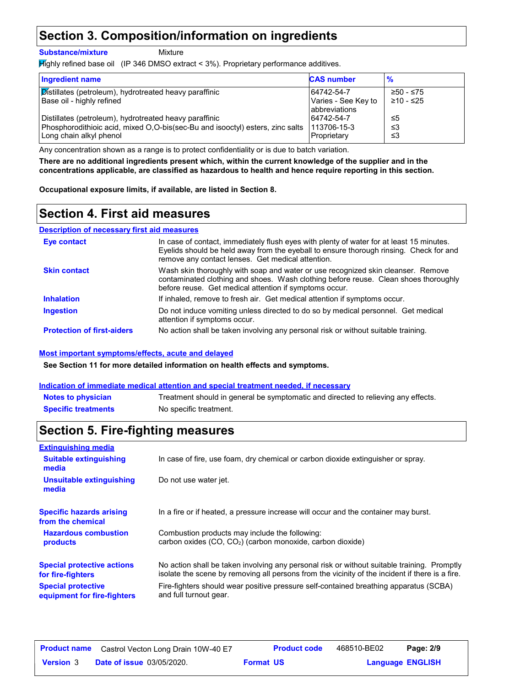# **Section 3. Composition/information on ingredients**

**Substance/mixture**

Mixture

Highly refined base oil (IP 346 DMSO extract < 3%). Proprietary performance additives.

| <b>Ingredient name</b>                                                        | <b>CAS number</b>   | $\frac{9}{6}$ |
|-------------------------------------------------------------------------------|---------------------|---------------|
| Distillates (petroleum), hydrotreated heavy paraffinic                        | 64742-54-7          | ≥50 - ≤75     |
| Base oil - highly refined                                                     | Varies - See Key to | ≥10 - ≤25     |
|                                                                               | abbreviations       |               |
| Distillates (petroleum), hydrotreated heavy paraffinic                        | 64742-54-7          | ≤5            |
| Phosphorodithioic acid, mixed O,O-bis(sec-Bu and isooctyl) esters, zinc salts | 1113706-15-3        | ב≥            |
| Long chain alkyl phenol                                                       | Proprietary         | צ≥            |

Any concentration shown as a range is to protect confidentiality or is due to batch variation.

**There are no additional ingredients present which, within the current knowledge of the supplier and in the concentrations applicable, are classified as hazardous to health and hence require reporting in this section.**

**Occupational exposure limits, if available, are listed in Section 8.**

## **Section 4. First aid measures**

#### **Description of necessary first aid measures**

| Eye contact                       | In case of contact, immediately flush eyes with plenty of water for at least 15 minutes.<br>Evelids should be held away from the eyeball to ensure thorough rinsing. Check for and<br>remove any contact lenses. Get medical attention. |
|-----------------------------------|-----------------------------------------------------------------------------------------------------------------------------------------------------------------------------------------------------------------------------------------|
| <b>Skin contact</b>               | Wash skin thoroughly with soap and water or use recognized skin cleanser. Remove<br>contaminated clothing and shoes. Wash clothing before reuse. Clean shoes thoroughly<br>before reuse. Get medical attention if symptoms occur.       |
| <b>Inhalation</b>                 | If inhaled, remove to fresh air. Get medical attention if symptoms occur.                                                                                                                                                               |
| <b>Ingestion</b>                  | Do not induce vomiting unless directed to do so by medical personnel. Get medical<br>attention if symptoms occur.                                                                                                                       |
| <b>Protection of first-aiders</b> | No action shall be taken involving any personal risk or without suitable training.                                                                                                                                                      |

#### **Most important symptoms/effects, acute and delayed**

**See Section 11 for more detailed information on health effects and symptoms.**

#### **Indication of immediate medical attention and special treatment needed, if necessary**

| <b>Notes to physician</b>  | Treatment should in general be symptomatic and directed to relieving any effects. |
|----------------------------|-----------------------------------------------------------------------------------|
| <b>Specific treatments</b> | No specific treatment.                                                            |

# **Section 5. Fire-fighting measures**

| <b>Extinguishing media</b>                               |                                                                                                                                                                                                |
|----------------------------------------------------------|------------------------------------------------------------------------------------------------------------------------------------------------------------------------------------------------|
| <b>Suitable extinguishing</b><br>media                   | In case of fire, use foam, dry chemical or carbon dioxide extinguisher or spray.                                                                                                               |
| Unsuitable extinguishing<br>media                        | Do not use water jet.                                                                                                                                                                          |
| <b>Specific hazards arising</b><br>from the chemical     | In a fire or if heated, a pressure increase will occur and the container may burst.                                                                                                            |
| <b>Hazardous combustion</b><br>products                  | Combustion products may include the following:<br>carbon oxides $(CO, CO2)$ (carbon monoxide, carbon dioxide)                                                                                  |
| <b>Special protective actions</b><br>for fire-fighters   | No action shall be taken involving any personal risk or without suitable training. Promptly<br>isolate the scene by removing all persons from the vicinity of the incident if there is a fire. |
| <b>Special protective</b><br>equipment for fire-fighters | Fire-fighters should wear positive pressure self-contained breathing apparatus (SCBA)<br>and full turnout gear.                                                                                |

| <b>Product name</b> | Castrol Vecton Long Drain 10W-40 E7 |                  | <b>Product code</b> | 468510-BE02             | Page: 2/9 |  |
|---------------------|-------------------------------------|------------------|---------------------|-------------------------|-----------|--|
| <b>Version</b> 3    | <b>Date of issue 03/05/2020.</b>    | <b>Format US</b> |                     | <b>Language ENGLISH</b> |           |  |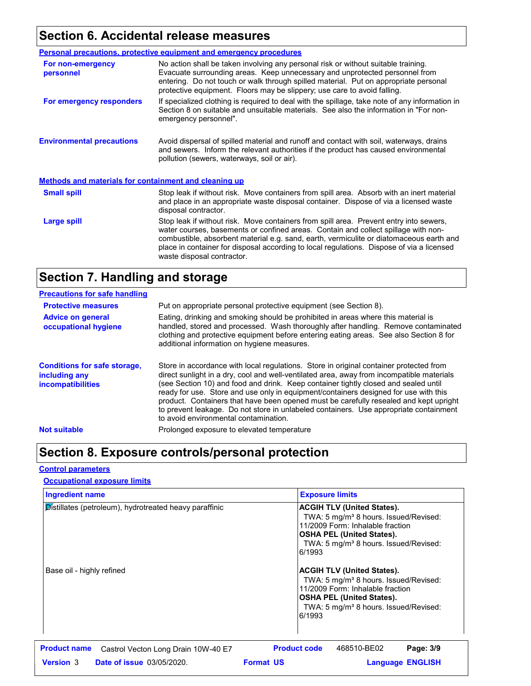# **Section 6. Accidental release measures**

|                                                              | Personal precautions, protective equipment and emergency procedures                                                                                                                                                                                                                                                                                                                                |  |
|--------------------------------------------------------------|----------------------------------------------------------------------------------------------------------------------------------------------------------------------------------------------------------------------------------------------------------------------------------------------------------------------------------------------------------------------------------------------------|--|
| For non-emergency<br>personnel                               | No action shall be taken involving any personal risk or without suitable training.<br>Evacuate surrounding areas. Keep unnecessary and unprotected personnel from<br>entering. Do not touch or walk through spilled material. Put on appropriate personal<br>protective equipment. Floors may be slippery; use care to avoid falling.                                                              |  |
| For emergency responders                                     | If specialized clothing is required to deal with the spillage, take note of any information in<br>Section 8 on suitable and unsuitable materials. See also the information in "For non-<br>emergency personnel".                                                                                                                                                                                   |  |
| <b>Environmental precautions</b>                             | Avoid dispersal of spilled material and runoff and contact with soil, waterways, drains<br>and sewers. Inform the relevant authorities if the product has caused environmental<br>pollution (sewers, waterways, soil or air).                                                                                                                                                                      |  |
| <b>Methods and materials for containment and cleaning up</b> |                                                                                                                                                                                                                                                                                                                                                                                                    |  |
| <b>Small spill</b>                                           | Stop leak if without risk. Move containers from spill area. Absorb with an inert material<br>and place in an appropriate waste disposal container. Dispose of via a licensed waste<br>disposal contractor.                                                                                                                                                                                         |  |
| Large spill                                                  | Stop leak if without risk. Move containers from spill area. Prevent entry into sewers,<br>water courses, basements or confined areas. Contain and collect spillage with non-<br>combustible, absorbent material e.g. sand, earth, vermiculite or diatomaceous earth and<br>place in container for disposal according to local regulations. Dispose of via a licensed<br>waste disposal contractor. |  |

# **Section 7. Handling and storage**

| <b>Precautions for safe handling</b>                                             |                                                                                                                                                                                                                                                                                                                                                                                                                                                                                                                                                                                               |
|----------------------------------------------------------------------------------|-----------------------------------------------------------------------------------------------------------------------------------------------------------------------------------------------------------------------------------------------------------------------------------------------------------------------------------------------------------------------------------------------------------------------------------------------------------------------------------------------------------------------------------------------------------------------------------------------|
| <b>Protective measures</b>                                                       | Put on appropriate personal protective equipment (see Section 8).                                                                                                                                                                                                                                                                                                                                                                                                                                                                                                                             |
| <b>Advice on general</b><br>occupational hygiene                                 | Eating, drinking and smoking should be prohibited in areas where this material is<br>handled, stored and processed. Wash thoroughly after handling. Remove contaminated<br>clothing and protective equipment before entering eating areas. See also Section 8 for<br>additional information on hygiene measures.                                                                                                                                                                                                                                                                              |
| <b>Conditions for safe storage,</b><br>including any<br><b>incompatibilities</b> | Store in accordance with local regulations. Store in original container protected from<br>direct sunlight in a dry, cool and well-ventilated area, away from incompatible materials<br>(see Section 10) and food and drink. Keep container tightly closed and sealed until<br>ready for use. Store and use only in equipment/containers designed for use with this<br>product. Containers that have been opened must be carefully resealed and kept upright<br>to prevent leakage. Do not store in unlabeled containers. Use appropriate containment<br>to avoid environmental contamination. |
| <b>Not suitable</b>                                                              | Prolonged exposure to elevated temperature                                                                                                                                                                                                                                                                                                                                                                                                                                                                                                                                                    |

# **Section 8. Exposure controls/personal protection**

#### **Control parameters**

#### **Occupational exposure limits**

| <b>Ingredient name</b>                                     | <b>Exposure limits</b>                                                                                                                                                                                                        |  |
|------------------------------------------------------------|-------------------------------------------------------------------------------------------------------------------------------------------------------------------------------------------------------------------------------|--|
| Distillates (petroleum), hydrotreated heavy paraffinic     | <b>ACGIH TLV (United States).</b><br>TWA: 5 mg/m <sup>3</sup> 8 hours. Issued/Revised:<br>11/2009 Form: Inhalable fraction<br><b>OSHA PEL (United States).</b><br>TWA: 5 mg/m <sup>3</sup> 8 hours. Issued/Revised:<br>6/1993 |  |
| Base oil - highly refined                                  | <b>ACGIH TLV (United States).</b><br>TWA: 5 mg/m <sup>3</sup> 8 hours. Issued/Revised:<br>11/2009 Form: Inhalable fraction<br><b>OSHA PEL (United States).</b><br>TWA: 5 mg/m <sup>3</sup> 8 hours. Issued/Revised:<br>6/1993 |  |
| <b>Product name</b><br>Castrol Vecton Long Drain 10W-40 E7 | <b>Product code</b><br>468510-BE02<br>Page: 3/9                                                                                                                                                                               |  |
| <b>Version 3</b><br><b>Date of issue 03/05/2020.</b>       | <b>Format US</b><br><b>Language ENGLISH</b>                                                                                                                                                                                   |  |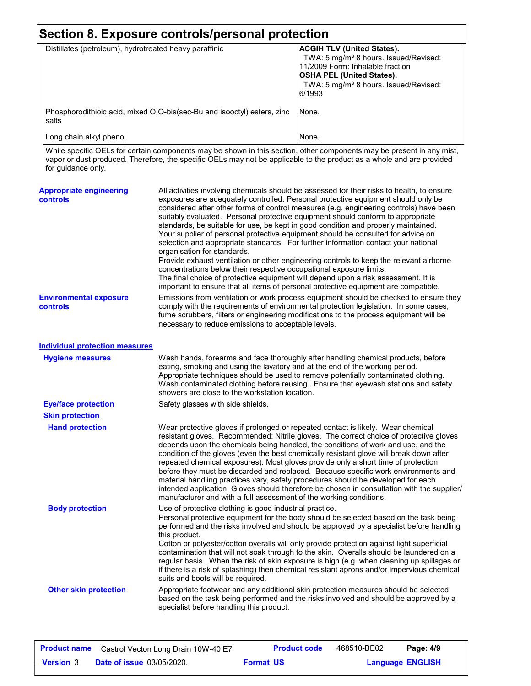| Section 8. Exposure controls/personal protection                                 |                                                                                                                                                                                                                               |
|----------------------------------------------------------------------------------|-------------------------------------------------------------------------------------------------------------------------------------------------------------------------------------------------------------------------------|
| Distillates (petroleum), hydrotreated heavy paraffinic                           | <b>ACGIH TLV (United States).</b><br>TWA: 5 mg/m <sup>3</sup> 8 hours. Issued/Revised:<br>11/2009 Form: Inhalable fraction<br><b>OSHA PEL (United States).</b><br>TWA: 5 mg/m <sup>3</sup> 8 hours. Issued/Revised:<br>6/1993 |
| Phosphorodithioic acid, mixed O,O-bis(sec-Bu and isooctyl) esters, zinc<br>salts | INone.                                                                                                                                                                                                                        |
| Long chain alkyl phenol                                                          | None.                                                                                                                                                                                                                         |

While specific OELs for certain components may be shown in this section, other components may be present in any mist, vapor or dust produced. Therefore, the specific OELs may not be applicable to the product as a whole and are provided for guidance only.

| <b>Appropriate engineering</b><br><b>controls</b> | All activities involving chemicals should be assessed for their risks to health, to ensure<br>exposures are adequately controlled. Personal protective equipment should only be<br>considered after other forms of control measures (e.g. engineering controls) have been<br>suitably evaluated. Personal protective equipment should conform to appropriate<br>standards, be suitable for use, be kept in good condition and properly maintained.<br>Your supplier of personal protective equipment should be consulted for advice on<br>selection and appropriate standards. For further information contact your national<br>organisation for standards.<br>Provide exhaust ventilation or other engineering controls to keep the relevant airborne<br>concentrations below their respective occupational exposure limits.<br>The final choice of protective equipment will depend upon a risk assessment. It is<br>important to ensure that all items of personal protective equipment are compatible. |
|---------------------------------------------------|------------------------------------------------------------------------------------------------------------------------------------------------------------------------------------------------------------------------------------------------------------------------------------------------------------------------------------------------------------------------------------------------------------------------------------------------------------------------------------------------------------------------------------------------------------------------------------------------------------------------------------------------------------------------------------------------------------------------------------------------------------------------------------------------------------------------------------------------------------------------------------------------------------------------------------------------------------------------------------------------------------|
| <b>Environmental exposure</b><br>controls         | Emissions from ventilation or work process equipment should be checked to ensure they<br>comply with the requirements of environmental protection legislation. In some cases,<br>fume scrubbers, filters or engineering modifications to the process equipment will be<br>necessary to reduce emissions to acceptable levels.                                                                                                                                                                                                                                                                                                                                                                                                                                                                                                                                                                                                                                                                              |
| <b>Individual protection measures</b>             |                                                                                                                                                                                                                                                                                                                                                                                                                                                                                                                                                                                                                                                                                                                                                                                                                                                                                                                                                                                                            |
| <b>Hygiene measures</b>                           | Wash hands, forearms and face thoroughly after handling chemical products, before<br>eating, smoking and using the lavatory and at the end of the working period.<br>Appropriate techniques should be used to remove potentially contaminated clothing.<br>Wash contaminated clothing before reusing. Ensure that eyewash stations and safety<br>showers are close to the workstation location.                                                                                                                                                                                                                                                                                                                                                                                                                                                                                                                                                                                                            |
| <b>Eye/face protection</b>                        | Safety glasses with side shields.                                                                                                                                                                                                                                                                                                                                                                                                                                                                                                                                                                                                                                                                                                                                                                                                                                                                                                                                                                          |
| <b>Skin protection</b>                            |                                                                                                                                                                                                                                                                                                                                                                                                                                                                                                                                                                                                                                                                                                                                                                                                                                                                                                                                                                                                            |
| <b>Hand protection</b>                            | Wear protective gloves if prolonged or repeated contact is likely. Wear chemical<br>resistant gloves. Recommended: Nitrile gloves. The correct choice of protective gloves<br>depends upon the chemicals being handled, the conditions of work and use, and the<br>condition of the gloves (even the best chemically resistant glove will break down after<br>repeated chemical exposures). Most gloves provide only a short time of protection<br>before they must be discarded and replaced. Because specific work environments and<br>material handling practices vary, safety procedures should be developed for each<br>intended application. Gloves should therefore be chosen in consultation with the supplier/<br>manufacturer and with a full assessment of the working conditions.                                                                                                                                                                                                              |
| <b>Body protection</b>                            | Use of protective clothing is good industrial practice.<br>Personal protective equipment for the body should be selected based on the task being<br>performed and the risks involved and should be approved by a specialist before handling<br>this product.<br>Cotton or polyester/cotton overalls will only provide protection against light superficial<br>contamination that will not soak through to the skin. Overalls should be laundered on a<br>regular basis. When the risk of skin exposure is high (e.g. when cleaning up spillages or<br>if there is a risk of splashing) then chemical resistant aprons and/or impervious chemical<br>suits and boots will be required.                                                                                                                                                                                                                                                                                                                      |
| <b>Other skin protection</b>                      | Appropriate footwear and any additional skin protection measures should be selected<br>based on the task being performed and the risks involved and should be approved by a<br>specialist before handling this product.                                                                                                                                                                                                                                                                                                                                                                                                                                                                                                                                                                                                                                                                                                                                                                                    |

| <b>Product name</b> | Castrol Vecton Long Drain 10W-40 E7 |                  | <b>Product code</b> | 468510-BE02             | Page: 4/9 |  |
|---------------------|-------------------------------------|------------------|---------------------|-------------------------|-----------|--|
| <b>Version 3</b>    | <b>Date of issue 03/05/2020.</b>    | <b>Format US</b> |                     | <b>Language ENGLISH</b> |           |  |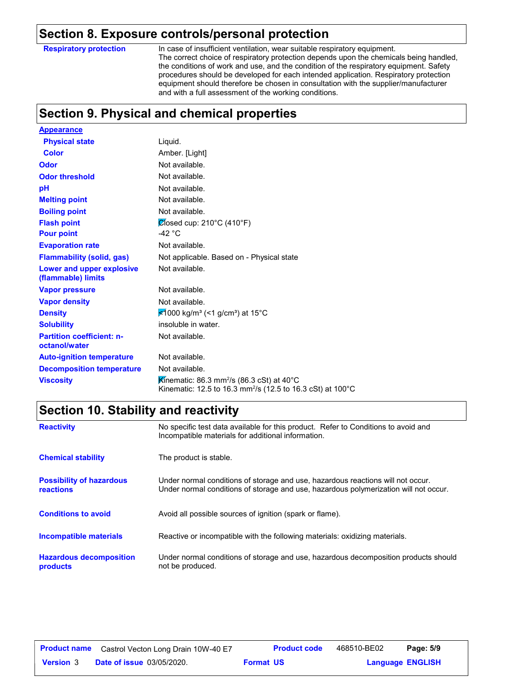### **Section 8. Exposure controls/personal protection**

**Respiratory protection**

In case of insufficient ventilation, wear suitable respiratory equipment. The correct choice of respiratory protection depends upon the chemicals being handled, the conditions of work and use, and the condition of the respiratory equipment. Safety procedures should be developed for each intended application. Respiratory protection equipment should therefore be chosen in consultation with the supplier/manufacturer and with a full assessment of the working conditions.

# **Section 9. Physical and chemical properties**

| <b>Appearance</b>                                 |                                                                                                                                 |
|---------------------------------------------------|---------------------------------------------------------------------------------------------------------------------------------|
| <b>Physical state</b>                             | Liquid.                                                                                                                         |
| <b>Color</b>                                      | Amber. [Light]                                                                                                                  |
| <b>Odor</b>                                       | Not available.                                                                                                                  |
| <b>Odor threshold</b>                             | Not available.                                                                                                                  |
| pH                                                | Not available.                                                                                                                  |
| <b>Melting point</b>                              | Not available.                                                                                                                  |
| <b>Boiling point</b>                              | Not available.                                                                                                                  |
| <b>Flash point</b>                                | $\mathcal{O}$ losed cup: 210°C (410°F)                                                                                          |
| <b>Pour point</b>                                 | -42 $^{\circ}$ C                                                                                                                |
| <b>Evaporation rate</b>                           | Not available.                                                                                                                  |
| <b>Flammability (solid, gas)</b>                  | Not applicable. Based on - Physical state                                                                                       |
| Lower and upper explosive<br>(flammable) limits   | Not available.                                                                                                                  |
| <b>Vapor pressure</b>                             | Not available.                                                                                                                  |
| <b>Vapor density</b>                              | Not available.                                                                                                                  |
| <b>Density</b>                                    | $\frac{1}{2}$ 1000 kg/m <sup>3</sup> (<1 g/cm <sup>3</sup> ) at 15°C                                                            |
| <b>Solubility</b>                                 | insoluble in water.                                                                                                             |
| <b>Partition coefficient: n-</b><br>octanol/water | Not available.                                                                                                                  |
| <b>Auto-ignition temperature</b>                  | Not available.                                                                                                                  |
| <b>Decomposition temperature</b>                  | Not available.                                                                                                                  |
| <b>Viscosity</b>                                  | Kinematic: 86.3 mm <sup>2</sup> /s (86.3 cSt) at 40°C<br>Kinematic: 12.5 to 16.3 mm <sup>2</sup> /s (12.5 to 16.3 cSt) at 100°C |

# **Section 10. Stability and reactivity**

| <b>Reactivity</b>                            | No specific test data available for this product. Refer to Conditions to avoid and<br>Incompatible materials for additional information.                                |
|----------------------------------------------|-------------------------------------------------------------------------------------------------------------------------------------------------------------------------|
| <b>Chemical stability</b>                    | The product is stable.                                                                                                                                                  |
| <b>Possibility of hazardous</b><br>reactions | Under normal conditions of storage and use, hazardous reactions will not occur.<br>Under normal conditions of storage and use, hazardous polymerization will not occur. |
| <b>Conditions to avoid</b>                   | Avoid all possible sources of ignition (spark or flame).                                                                                                                |
| Incompatible materials                       | Reactive or incompatible with the following materials: oxidizing materials.                                                                                             |
| <b>Hazardous decomposition</b><br>products   | Under normal conditions of storage and use, hazardous decomposition products should<br>not be produced.                                                                 |

| <b>Product name</b> | Castrol Vecton Long Drain 10W-40 E7 | <b>Product code</b> | 468510-BE02 | Page: 5/9               |  |
|---------------------|-------------------------------------|---------------------|-------------|-------------------------|--|
| <b>Version 3</b>    | <b>Date of issue 03/05/2020.</b>    | <b>Format US</b>    |             | <b>Language ENGLISH</b> |  |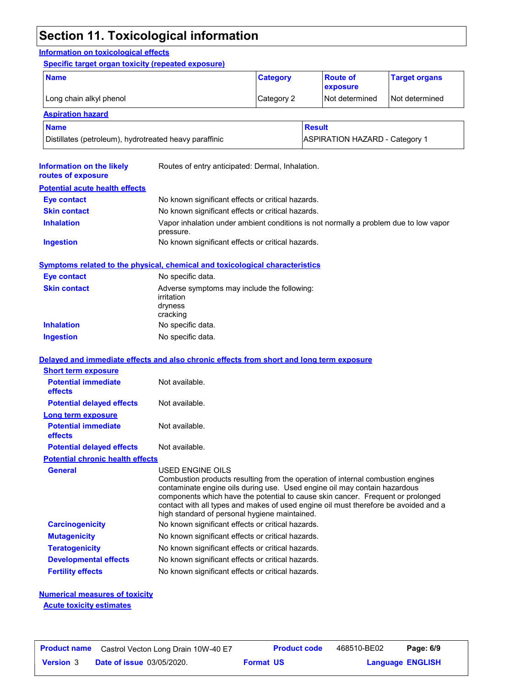# **Section 11. Toxicological information**

#### **Information on toxicological effects**

#### **Specific target organ toxicity (repeated exposure)**

| <b>Name</b>                                            | <b>Category</b> | <b>Route of</b><br>exposure           | <b>Target organs</b> |
|--------------------------------------------------------|-----------------|---------------------------------------|----------------------|
| Long chain alkyl phenol<br>Category 2                  |                 | l Not determined                      | Not determined       |
| <b>Aspiration hazard</b>                               |                 |                                       |                      |
| <b>Name</b>                                            |                 | <b>Result</b>                         |                      |
| Distillates (petroleum), hydrotreated heavy paraffinic |                 | <b>ASPIRATION HAZARD - Category 1</b> |                      |

| Information on the likely<br>routes of exposure                           | Routes of entry anticipated: Dermal, Inhalation.                                                                                                                                                                                                                                                                                                                                                            |
|---------------------------------------------------------------------------|-------------------------------------------------------------------------------------------------------------------------------------------------------------------------------------------------------------------------------------------------------------------------------------------------------------------------------------------------------------------------------------------------------------|
| <b>Potential acute health effects</b>                                     |                                                                                                                                                                                                                                                                                                                                                                                                             |
| <b>Eye contact</b>                                                        | No known significant effects or critical hazards.                                                                                                                                                                                                                                                                                                                                                           |
| <b>Skin contact</b>                                                       | No known significant effects or critical hazards.                                                                                                                                                                                                                                                                                                                                                           |
| <b>Inhalation</b>                                                         | Vapor inhalation under ambient conditions is not normally a problem due to low vapor<br>pressure.                                                                                                                                                                                                                                                                                                           |
| <b>Ingestion</b>                                                          | No known significant effects or critical hazards.                                                                                                                                                                                                                                                                                                                                                           |
|                                                                           | <b>Symptoms related to the physical, chemical and toxicological characteristics</b>                                                                                                                                                                                                                                                                                                                         |
| <b>Eye contact</b>                                                        | No specific data.                                                                                                                                                                                                                                                                                                                                                                                           |
| <b>Skin contact</b>                                                       | Adverse symptoms may include the following:<br>irritation<br>dryness<br>cracking                                                                                                                                                                                                                                                                                                                            |
| <b>Inhalation</b>                                                         | No specific data.                                                                                                                                                                                                                                                                                                                                                                                           |
| <b>Ingestion</b>                                                          | No specific data.                                                                                                                                                                                                                                                                                                                                                                                           |
|                                                                           | Delayed and immediate effects and also chronic effects from short and long term exposure                                                                                                                                                                                                                                                                                                                    |
| <b>Short term exposure</b><br><b>Potential immediate</b><br>effects       | Not available.                                                                                                                                                                                                                                                                                                                                                                                              |
| <b>Potential delayed effects</b>                                          | Not available.                                                                                                                                                                                                                                                                                                                                                                                              |
| <b>Long term exposure</b><br><b>Potential immediate</b><br><b>effects</b> | Not available.                                                                                                                                                                                                                                                                                                                                                                                              |
| <b>Potential delayed effects</b>                                          | Not available.                                                                                                                                                                                                                                                                                                                                                                                              |
| <b>Potential chronic health effects</b>                                   |                                                                                                                                                                                                                                                                                                                                                                                                             |
| General                                                                   | USED ENGINE OILS<br>Combustion products resulting from the operation of internal combustion engines<br>contaminate engine oils during use. Used engine oil may contain hazardous<br>components which have the potential to cause skin cancer. Frequent or prolonged<br>contact with all types and makes of used engine oil must therefore be avoided and a<br>high standard of personal hygiene maintained. |
| <b>Carcinogenicity</b>                                                    | No known significant effects or critical hazards.                                                                                                                                                                                                                                                                                                                                                           |
| <b>Mutagenicity</b>                                                       | No known significant effects or critical hazards.                                                                                                                                                                                                                                                                                                                                                           |
| <b>Teratogenicity</b>                                                     | No known significant effects or critical hazards.                                                                                                                                                                                                                                                                                                                                                           |
| <b>Developmental effects</b>                                              | No known significant effects or critical hazards.                                                                                                                                                                                                                                                                                                                                                           |
| <b>Fertility effects</b>                                                  | No known significant effects or critical hazards.                                                                                                                                                                                                                                                                                                                                                           |

# **Numerical measures of toxicity**

**Acute toxicity estimates**

| <b>Product name</b> | Castrol Vecton Long Drain 10W-40 E7 | <b>Product code</b> | 468510-BE02 | Page: 6/9               |  |
|---------------------|-------------------------------------|---------------------|-------------|-------------------------|--|
| <b>Version 3</b>    | <b>Date of issue 03/05/2020.</b>    | <b>Format US</b>    |             | <b>Language ENGLISH</b> |  |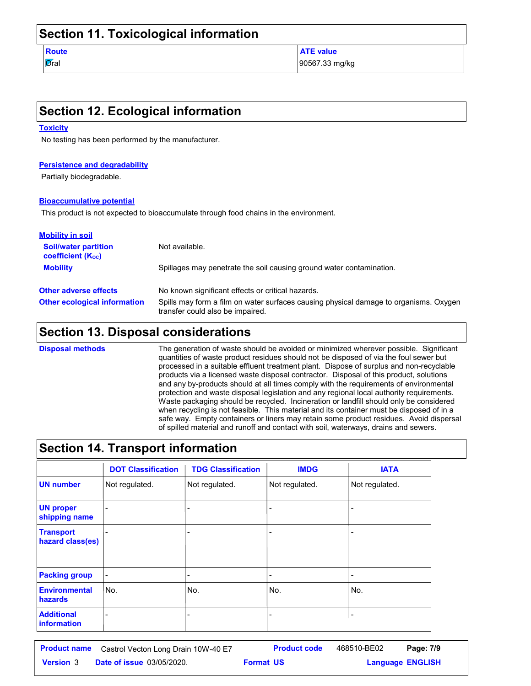### **Section 11. Toxicological information**

**Route ATE value** 

 $\sigma$ al  $\sigma$  90567.33 mg/kg

### **Section 12. Ecological information**

#### **Toxicity**

No testing has been performed by the manufacturer.

#### **Persistence and degradability**

Partially biodegradable.

#### **Bioaccumulative potential**

This product is not expected to bioaccumulate through food chains in the environment.

| <b>Mobility in soil</b>                                 |                                                                                                                           |  |  |
|---------------------------------------------------------|---------------------------------------------------------------------------------------------------------------------------|--|--|
| <b>Soil/water partition</b><br><b>coefficient (Koc)</b> | Not available.                                                                                                            |  |  |
| <b>Mobility</b>                                         | Spillages may penetrate the soil causing ground water contamination.                                                      |  |  |
| <b>Other adverse effects</b>                            | No known significant effects or critical hazards.                                                                         |  |  |
| <b>Other ecological information</b>                     | Spills may form a film on water surfaces causing physical damage to organisms. Oxygen<br>transfer could also be impaired. |  |  |

### **Section 13. Disposal considerations**

**Disposal methods**

The generation of waste should be avoided or minimized wherever possible. Significant quantities of waste product residues should not be disposed of via the foul sewer but processed in a suitable effluent treatment plant. Dispose of surplus and non-recyclable products via a licensed waste disposal contractor. Disposal of this product, solutions and any by-products should at all times comply with the requirements of environmental protection and waste disposal legislation and any regional local authority requirements. Waste packaging should be recycled. Incineration or landfill should only be considered when recycling is not feasible. This material and its container must be disposed of in a safe way. Empty containers or liners may retain some product residues. Avoid dispersal of spilled material and runoff and contact with soil, waterways, drains and sewers.

### **Section 14. Transport information**

|                                      | <b>DOT Classification</b> | <b>TDG Classification</b> | <b>IMDG</b>    | <b>IATA</b>    |
|--------------------------------------|---------------------------|---------------------------|----------------|----------------|
| <b>UN number</b>                     | Not regulated.            | Not regulated.            | Not regulated. | Not regulated. |
| <b>UN proper</b><br>shipping name    |                           |                           |                |                |
| <b>Transport</b><br>hazard class(es) |                           |                           |                |                |
| <b>Packing group</b>                 |                           |                           |                |                |
| <b>Environmental</b><br>hazards      | No.                       | No.                       | No.            | No.            |
| <b>Additional</b><br>information     |                           |                           |                |                |

| <b>Product name</b> | Castrol Vecton Long Drain 10W-40 E7 | <b>Product code</b> | 468510-BE02 | Page: 7/9               |  |
|---------------------|-------------------------------------|---------------------|-------------|-------------------------|--|
| <b>Version</b> 3    | <b>Date of issue 03/05/2020.</b>    | <b>Format US</b>    |             | <b>Language ENGLISH</b> |  |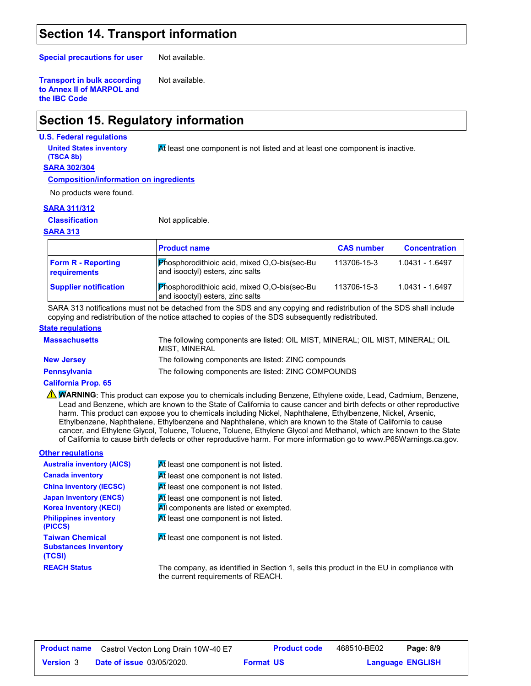## **Section 14. Transport information**

**Special precautions for user**

Not available.

Not available.

**Transport in bulk according to Annex II of MARPOL and the IBC Code**

# **Section 15. Regulatory information**

#### **U.S. Federal regulations**

**(TSCA 8b)**

**United States inventory At least one component is not listed and at least one component is inactive.** 

#### **SARA 302/304**

**Composition/information on ingredients**

No products were found.

#### **SARA 311/312**

#### **Classification**

Not applicable.

#### **SARA 313**

|                                           | <b>Product name</b>                                                                     | <b>CAS number</b> | <b>Concentration</b> |
|-------------------------------------------|-----------------------------------------------------------------------------------------|-------------------|----------------------|
| <b>Form R - Reporting</b><br>requirements | <b>Phosphorodithioic acid, mixed O,O-bis(sec-Bu</b><br>and isooctyl) esters, zinc salts | 113706-15-3       | 1.0431 - 1.6497      |
| <b>Supplier notification</b>              | <b>Phosphorodithioic acid, mixed O,O-bis(sec-Bu</b><br>and isooctyl) esters, zinc salts | 113706-15-3       | 1.0431 - 1.6497      |

SARA 313 notifications must not be detached from the SDS and any copying and redistribution of the SDS shall include copying and redistribution of the notice attached to copies of the SDS subsequently redistributed.

#### **State regulations**

| <b>Massachusetts</b> | The following components are listed: OIL MIST, MINERAL; OIL MIST, MINERAL; OIL<br>MIST, MINERAL |
|----------------------|-------------------------------------------------------------------------------------------------|
| <b>New Jersey</b>    | The following components are listed: ZINC compounds                                             |
| <b>Pennsylvania</b>  | The following components are listed: ZINC COMPOUNDS                                             |

#### **California Prop. 65**

**A WARNING**: This product can expose you to chemicals including Benzene, Ethylene oxide, Lead, Cadmium, Benzene, Lead and Benzene, which are known to the State of California to cause cancer and birth defects or other reproductive harm. This product can expose you to chemicals including Nickel, Naphthalene, Ethylbenzene, Nickel, Arsenic, Ethylbenzene, Naphthalene, Ethylbenzene and Naphthalene, which are known to the State of California to cause cancer, and Ethylene Glycol, Toluene, Toluene, Toluene, Ethylene Glycol and Methanol, which are known to the State of California to cause birth defects or other reproductive harm. For more information go to www.P65Warnings.ca.gov.

#### **Other regulations**

| <b>Australia inventory (AICS)</b>                               | At least one component is not listed.                                                    |
|-----------------------------------------------------------------|------------------------------------------------------------------------------------------|
| <b>Canada inventory</b>                                         | At least one component is not listed.                                                    |
| <b>China inventory (IECSC)</b>                                  | At least one component is not listed.                                                    |
| <b>Japan inventory (ENCS)</b><br><b>Korea inventory (KECI)</b>  | At least one component is not listed.<br>All components are listed or exempted.          |
| <b>Philippines inventory</b><br>(PICCS)                         | At least one component is not listed.                                                    |
| <b>Taiwan Chemical</b><br><b>Substances Inventory</b><br>(TCSI) | At least one component is not listed.                                                    |
| <b>REACH Status</b>                                             | The company, as identified in Section 1, sells this product in the EU in compliance with |

| <b>Product name</b> | Castrol Vecton Long Drain 10W-40 E7 | <b>Product code</b> | 468510-BE02 | Page: 8/9               |
|---------------------|-------------------------------------|---------------------|-------------|-------------------------|
| <b>Version</b> 3    | <b>Date of issue 03/05/2020.</b>    | <b>Format US</b>    |             | <b>Language ENGLISH</b> |

the current requirements of REACH.